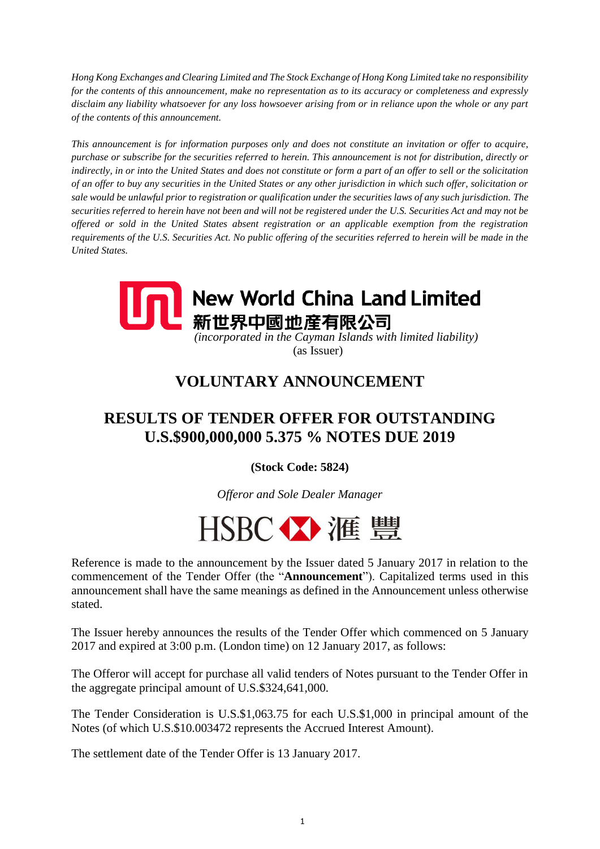*Hong Kong Exchanges and Clearing Limited and The Stock Exchange of Hong Kong Limited take no responsibility for the contents of this announcement, make no representation as to its accuracy or completeness and expressly disclaim any liability whatsoever for any loss howsoever arising from or in reliance upon the whole or any part of the contents of this announcement.*

*This announcement is for information purposes only and does not constitute an invitation or offer to acquire, purchase or subscribe for the securities referred to herein. This announcement is not for distribution, directly or indirectly, in or into the United States and does not constitute or form a part of an offer to sell or the solicitation of an offer to buy any securities in the United States or any other jurisdiction in which such offer, solicitation or sale would be unlawful prior to registration or qualification under the securities laws of any such jurisdiction. The securities referred to herein have not been and will not be registered under the U.S. Securities Act and may not be offered or sold in the United States absent registration or an applicable exemption from the registration requirements of the U.S. Securities Act. No public offering of the securities referred to herein will be made in the United States.*



(as Issuer)

## **VOLUNTARY ANNOUNCEMENT**

## **RESULTS OF TENDER OFFER FOR OUTSTANDING U.S.\$900,000,000 5.375 % NOTES DUE 2019**

**(Stock Code: 5824)**

*Offeror and Sole Dealer Manager*



Reference is made to the announcement by the Issuer dated 5 January 2017 in relation to the commencement of the Tender Offer (the "**Announcement**"). Capitalized terms used in this announcement shall have the same meanings as defined in the Announcement unless otherwise stated.

The Issuer hereby announces the results of the Tender Offer which commenced on 5 January 2017 and expired at 3:00 p.m. (London time) on 12 January 2017, as follows:

The Offeror will accept for purchase all valid tenders of Notes pursuant to the Tender Offer in the aggregate principal amount of U.S.\$324,641,000.

The Tender Consideration is U.S.\$1,063.75 for each U.S.\$1,000 in principal amount of the Notes (of which U.S.\$10.003472 represents the Accrued Interest Amount).

The settlement date of the Tender Offer is 13 January 2017.